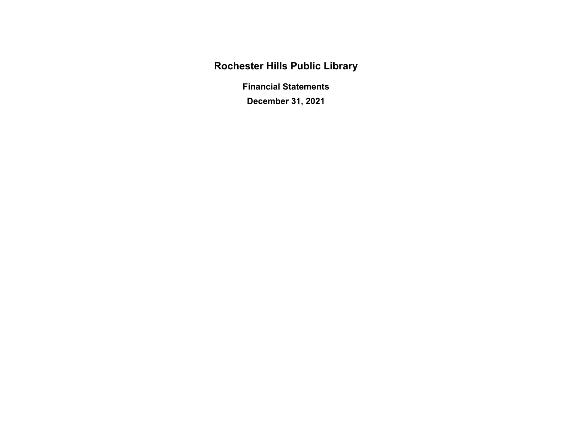**Rochester Hills Public Library** 

**Financial Statements** 

**December 31, 2021** 

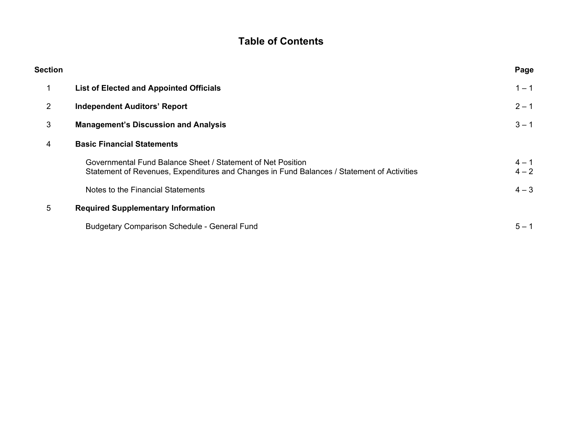# **Table of Contents**

| Section        |                                                                                                                                                           | Page               |
|----------------|-----------------------------------------------------------------------------------------------------------------------------------------------------------|--------------------|
|                | <b>List of Elected and Appointed Officials</b>                                                                                                            | $1 - 1$            |
| $\overline{2}$ | <b>Independent Auditors' Report</b>                                                                                                                       | $2 - 1$            |
| 3              | <b>Management's Discussion and Analysis</b>                                                                                                               | $3 - 1$            |
| 4              | <b>Basic Financial Statements</b>                                                                                                                         |                    |
|                | Governmental Fund Balance Sheet / Statement of Net Position<br>Statement of Revenues, Expenditures and Changes in Fund Balances / Statement of Activities | $4 - 1$<br>$4 - 2$ |
|                | Notes to the Financial Statements                                                                                                                         | $4 - 3$            |
| 5              | <b>Required Supplementary Information</b>                                                                                                                 |                    |
|                | <b>Budgetary Comparison Schedule - General Fund</b>                                                                                                       | $5 - 1$            |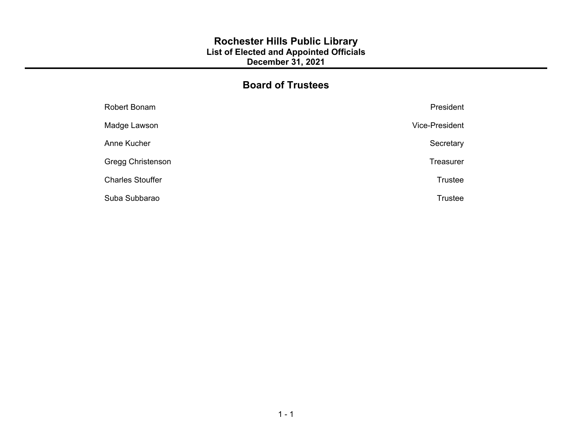## **Rochester Hills Public Library List of Elected and Appointed Officials December 31, 2021**

# **Board of Trustees**

| Robert Bonam             | President        |
|--------------------------|------------------|
| Madge Lawson             | Vice-President   |
| Anne Kucher              | Secretary        |
| <b>Gregg Christenson</b> | <b>Treasurer</b> |
| <b>Charles Stouffer</b>  | Trustee          |
| Suba Subbarao            | <b>Trustee</b>   |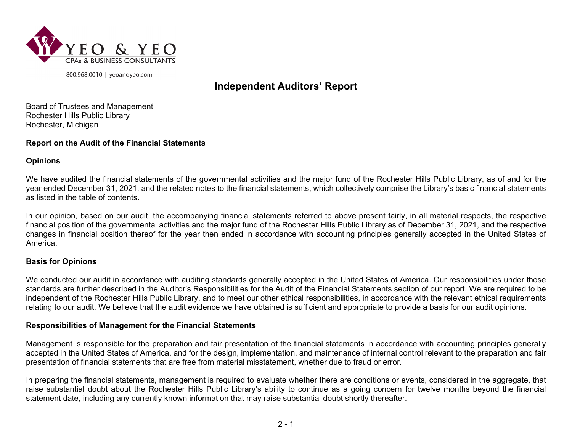

800.968.0010 | yeoandyeo.com

# **Independent Auditors' Report**

Board of Trustees and Management Rochester Hills Public Library Rochester, Michigan

#### **Report on the Audit of the Financial Statements**

#### **Opinions**

We have audited the financial statements of the governmental activities and the major fund of the Rochester Hills Public Library, as of and for the year ended December 31, 2021, and the related notes to the financial statements, which collectively comprise the Library's basic financial statements as listed in the table of contents.

In our opinion, based on our audit, the accompanying financial statements referred to above present fairly, in all material respects, the respective financial position of the governmental activities and the major fund of the Rochester Hills Public Library as of December 31, 2021, and the respective changes in financial position thereof for the year then ended in accordance with accounting principles generally accepted in the United States of America.

#### **Basis for Opinions**

We conducted our audit in accordance with auditing standards generally accepted in the United States of America. Our responsibilities under those standards are further described in the Auditor's Responsibilities for the Audit of the Financial Statements section of our report. We are required to be independent of the Rochester Hills Public Library, and to meet our other ethical responsibilities, in accordance with the relevant ethical requirements relating to our audit. We believe that the audit evidence we have obtained is sufficient and appropriate to provide a basis for our audit opinions.

#### **Responsibilities of Management for the Financial Statements**

Management is responsible for the preparation and fair presentation of the financial statements in accordance with accounting principles generally accepted in the United States of America, and for the design, implementation, and maintenance of internal control relevant to the preparation and fair presentation of financial statements that are free from material misstatement, whether due to fraud or error.

In preparing the financial statements, management is required to evaluate whether there are conditions or events, considered in the aggregate, that raise substantial doubt about the Rochester Hills Public Library's ability to continue as a going concern for twelve months beyond the financial statement date, including any currently known information that may raise substantial doubt shortly thereafter.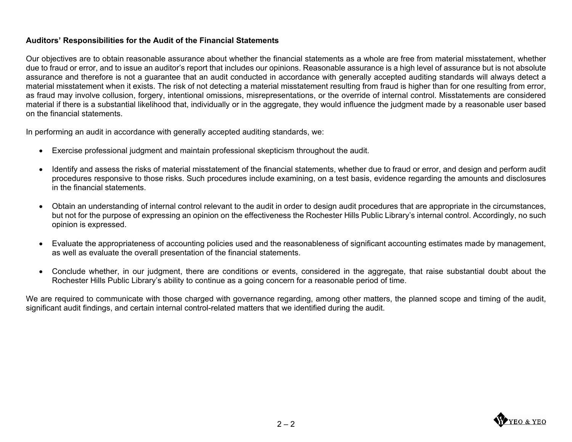## **Auditors' Responsibilities for the Audit of the Financial Statements**

Our objectives are to obtain reasonable assurance about whether the financial statements as a whole are free from material misstatement, whether due to fraud or error, and to issue an auditor's report that includes our opinions. Reasonable assurance is a high level of assurance but is not absolute assurance and therefore is not a guarantee that an audit conducted in accordance with generally accepted auditing standards will always detect a material misstatement when it exists. The risk of not detecting a material misstatement resulting from fraud is higher than for one resulting from error, as fraud may involve collusion, forgery, intentional omissions, misrepresentations, or the override of internal control. Misstatements are considered material if there is a substantial likelihood that, individually or in the aggregate, they would influence the judgment made by a reasonable user based on the financial statements.

In performing an audit in accordance with generally accepted auditing standards, we:

- Exercise professional judgment and maintain professional skepticism throughout the audit.
- Identify and assess the risks of material misstatement of the financial statements, whether due to fraud or error, and design and perform audit procedures responsive to those risks. Such procedures include examining, on a test basis, evidence regarding the amounts and disclosures in the financial statements.
- Obtain an understanding of internal control relevant to the audit in order to design audit procedures that are appropriate in the circumstances, but not for the purpose of expressing an opinion on the effectiveness the Rochester Hills Public Library's internal control. Accordingly, no such opinion is expressed.
- Evaluate the appropriateness of accounting policies used and the reasonableness of significant accounting estimates made by management, as well as evaluate the overall presentation of the financial statements.
- Conclude whether, in our judgment, there are conditions or events, considered in the aggregate, that raise substantial doubt about the Rochester Hills Public Library's ability to continue as a going concern for a reasonable period of time.

We are required to communicate with those charged with governance regarding, among other matters, the planned scope and timing of the audit, significant audit findings, and certain internal control-related matters that we identified during the audit.

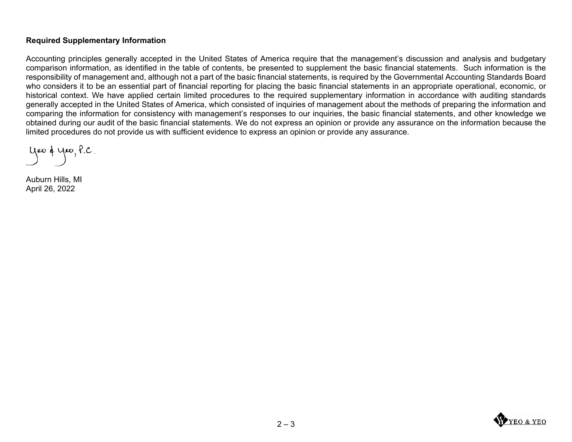#### **Required Supplementary Information**

Accounting principles generally accepted in the United States of America require that the management's discussion and analysis and budgetary comparison information, as identified in the table of contents, be presented to supplement the basic financial statements. Such information is the responsibility of management and, although not a part of the basic financial statements, is required by the Governmental Accounting Standards Board who considers it to be an essential part of financial reporting for placing the basic financial statements in an appropriate operational, economic, or historical context. We have applied certain limited procedures to the required supplementary information in accordance with auditing standards generally accepted in the United States of America, which consisted of inquiries of management about the methods of preparing the information and comparing the information for consistency with management's responses to our inquiries, the basic financial statements, and other knowledge we obtained during our audit of the basic financial statements. We do not express an opinion or provide any assurance on the information because the limited procedures do not provide us with sufficient evidence to express an opinion or provide any assurance.

yer & yer, P.C.

Auburn Hills, MI April 26, 2022

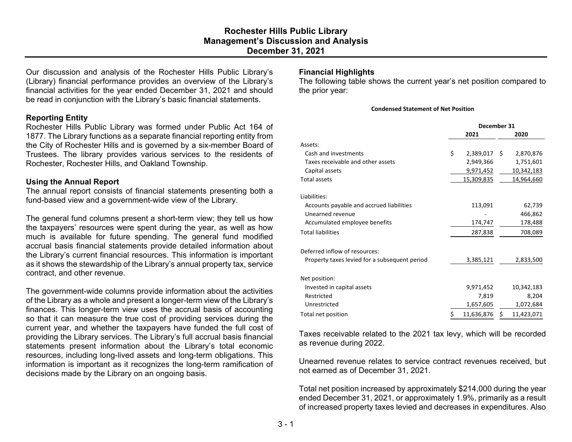Our discussion and analysis of the Rochester Hills Public Library's (Library) financial performance provides an overview of the Library's financial activities for the year ended December 31, 2021 and should be read in conjunction with the Library's basic financial statements.

#### **Reporting Entity**

Rochester Hills Public Library was formed under Public Act 164 of 1877. The Library functions as a separate financial reporting entity from the City of Rochester Hills and is governed by a six-member Board of Trustees. The library provides various services to the residents of Rochester, Rochester Hills, and Oakland Township.

#### **Using the Annual Report**

The annual report consists of financial statements presenting both a fund-based view and a government-wide view of the Library.

The general fund columns present a short-term view; they tell us how the taxpayers' resources were spent during the year, as well as how much is available for future spending. The general fund modified accrual basis financial statements provide detailed information about the Library's current financial resources. This information is important as it shows the stewardship of the Library's annual property tax, service contract, and other revenue.

The government-wide columns provide information about the activities of the Library as a whole and present a longer-term view of the Library's finances. This longer-term view uses the accrual basis of accounting so that it can measure the true cost of providing services during the current year, and whether the taxpayers have funded the full cost of providing the Library services. The Library's full accrual basis financial statements present information about the Library's total economic resources, including long-lived assets and long-term obligations. This information is important as it recognizes the long-term ramification of decisions made by the Library on an ongoing basis.

#### **Financial Highlights**

The following table shows the current year's net position compared to the prior year:

#### **Condensed Statement of Net Position**

|                                               | December 31 |                |    |            |
|-----------------------------------------------|-------------|----------------|----|------------|
|                                               |             | 2020           |    |            |
| Assets:                                       |             |                |    |            |
| Cash and investments                          | \$          | $2,389,017$ \$ |    | 2,870,876  |
| Taxes receivable and other assets             |             | 2,949,366      |    | 1,751,601  |
| Capital assets                                |             | 9,971,452      |    | 10,342,183 |
| <b>Total assets</b>                           |             | 15,309,835     |    | 14,964,660 |
| Liabilities:                                  |             |                |    |            |
| Accounts payable and accrued liabilities      |             | 113,091        |    | 62,739     |
| Unearned revenue                              |             |                |    | 466,862    |
| Accumulated employee benefits                 |             | 174,747        |    | 178,488    |
| <b>Total liabilities</b>                      |             | 287,838        |    | 708,089    |
| Deferred inflow of resources:                 |             |                |    |            |
| Property taxes levied for a subsequent period |             | 3,385,121      |    | 2,833,500  |
| Net position:                                 |             |                |    |            |
| Invested in capital assets                    |             | 9,971,452      |    | 10,342,183 |
| Restricted                                    |             | 7,819          |    | 8,204      |
| Unrestricted                                  |             | 1,657,605      |    | 1,072,684  |
| Total net position                            | \$          | 11,636,876     | \$ | 11,423,071 |

Taxes receivable related to the 2021 tax levy, which will be recorded as revenue during 2022.

Unearned revenue relates to service contract revenues received, but not earned as of December 31, 2021.

Total net position increased by approximately \$214,000 during the year ended December 31, 2021, or approximately 1.9%, primarily as a result of increased property taxes levied and decreases in expenditures. Also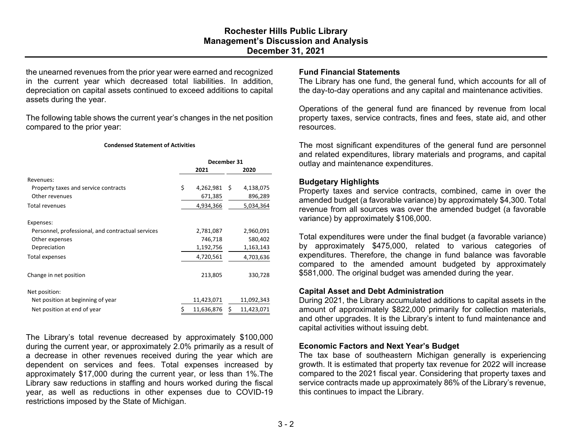the unearned revenues from the prior year were earned and recognized in the current year which decreased total liabilities. In addition, depreciation on capital assets continued to exceed additions to capital assets during the year.

The following table shows the current year's changes in the net position compared to the prior year:

#### **Condensed Statement of Activities**

|                                                   | December 31 |                |  |            |
|---------------------------------------------------|-------------|----------------|--|------------|
|                                                   | 2021        |                |  | 2020       |
| Revenues:                                         |             |                |  |            |
| Property taxes and service contracts              | \$          | $4,262,981$ \$ |  | 4,138,075  |
| Other revenues                                    |             | 671,385        |  | 896,289    |
| <b>Total revenues</b>                             |             | 4,934,366      |  | 5,034,364  |
| Expenses:                                         |             |                |  |            |
| Personnel, professional, and contractual services |             | 2,781,087      |  | 2,960,091  |
| Other expenses                                    |             | 746,718        |  | 580,402    |
| Depreciation                                      |             | 1,192,756      |  | 1,163,143  |
| Total expenses                                    |             | 4,720,561      |  | 4,703,636  |
| Change in net position                            |             | 213,805        |  | 330,728    |
| Net position:                                     |             |                |  |            |
| Net position at beginning of year                 |             | 11,423,071     |  | 11,092,343 |
| Net position at end of year                       |             | 11,636,876     |  | 11,423,071 |

The Library's total revenue decreased by approximately \$100,000 during the current year, or approximately 2.0% primarily as a result of a decrease in other revenues received during the year which are dependent on services and fees. Total expenses increased by approximately \$17,000 during the current year, or less than 1%.The Library saw reductions in staffing and hours worked during the fiscal year, as well as reductions in other expenses due to COVID-19 restrictions imposed by the State of Michigan.

#### **Fund Financial Statements**

The Library has one fund, the general fund, which accounts for all of the day-to-day operations and any capital and maintenance activities.

Operations of the general fund are financed by revenue from local property taxes, service contracts, fines and fees, state aid, and other resources.

The most significant expenditures of the general fund are personnel and related expenditures, library materials and programs, and capital outlay and maintenance expenditures.

#### **Budgetary Highlights**

Property taxes and service contracts, combined, came in over the amended budget (a favorable variance) by approximately \$4,300. Total revenue from all sources was over the amended budget (a favorable variance) by approximately \$106,000.

Total expenditures were under the final budget (a favorable variance) by approximately \$475,000, related to various categories of expenditures. Therefore, the change in fund balance was favorable compared to the amended amount budgeted by approximately \$581,000. The original budget was amended during the year.

#### **Capital Asset and Debt Administration**

During 2021, the Library accumulated additions to capital assets in the amount of approximately \$822,000 primarily for collection materials, and other upgrades. It is the Library's intent to fund maintenance and capital activities without issuing debt.

#### **Economic Factors and Next Year's Budget**

The tax base of southeastern Michigan generally is experiencing growth. It is estimated that property tax revenue for 2022 will increase compared to the 2021 fiscal year. Considering that property taxes and service contracts made up approximately 86% of the Library's revenue, this continues to impact the Library.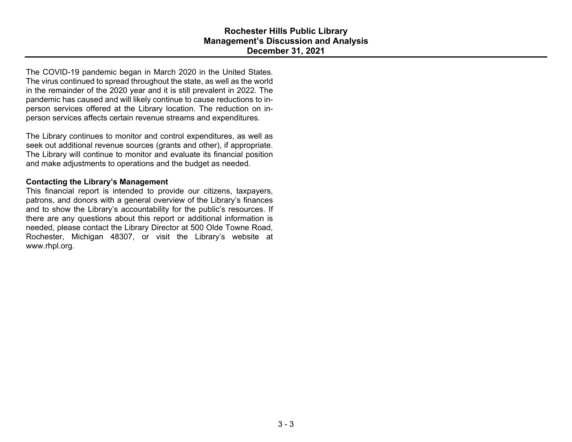The COVID-19 pandemic began in March 2020 in the United States. The virus continued to spread throughout the state, as well as the world in the remainder of the 2020 year and it is still prevalent in 2022. The pandemic has caused and will likely continue to cause reductions to inperson services offered at the Library location. The reduction on inperson services affects certain revenue streams and expenditures.

The Library continues to monitor and control expenditures, as well as seek out additional revenue sources (grants and other), if appropriate. The Library will continue to monitor and evaluate its financial position and make adjustments to operations and the budget as needed.

#### **Contacting the Library's Management**

This financial report is intended to provide our citizens, taxpayers, patrons, and donors with a general overview of the Library's finances and to show the Library's accountability for the public's resources. If there are any questions about this report or additional information is needed, please contact the Library Director at 500 Olde Towne Road, Rochester, Michigan 48307, or visit the Library's website at www.rhpl.org.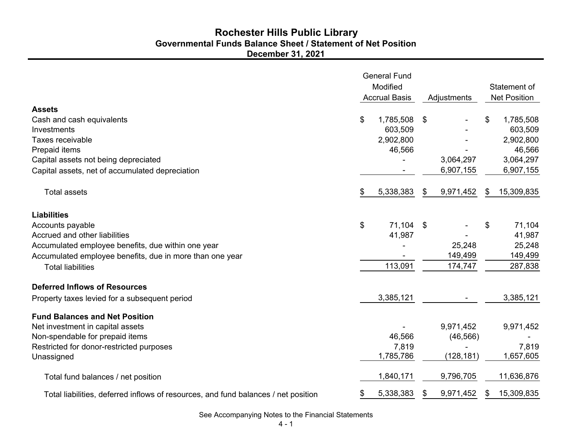## **December 31, 2021 Governmental Funds Balance Sheet / Statement of Net Position Rochester Hills Public Library**

|                                                                                    | <b>General Fund</b><br>Modified<br><b>Accrual Basis</b> |           | Adjustments |           | Statement of<br><b>Net Position</b> |  |
|------------------------------------------------------------------------------------|---------------------------------------------------------|-----------|-------------|-----------|-------------------------------------|--|
| <b>Assets</b>                                                                      |                                                         |           |             |           |                                     |  |
| Cash and cash equivalents                                                          | \$                                                      | 1,785,508 | \$          |           | \$<br>1,785,508                     |  |
| Investments                                                                        |                                                         | 603,509   |             |           | 603,509                             |  |
| Taxes receivable                                                                   |                                                         | 2,902,800 |             |           | 2,902,800                           |  |
| Prepaid items                                                                      |                                                         | 46,566    |             |           | 46,566                              |  |
| Capital assets not being depreciated                                               |                                                         |           |             | 3,064,297 | 3,064,297                           |  |
| Capital assets, net of accumulated depreciation                                    |                                                         |           |             | 6,907,155 | 6,907,155                           |  |
| <b>Total assets</b>                                                                | \$                                                      | 5,338,383 | \$          | 9,971,452 | \$<br>15,309,835                    |  |
| <b>Liabilities</b>                                                                 |                                                         |           |             |           |                                     |  |
| Accounts payable                                                                   | \$                                                      | 71,104    | $^{\circ}$  |           | \$<br>71,104                        |  |
| Accrued and other liabilities                                                      |                                                         | 41,987    |             |           | 41,987                              |  |
| Accumulated employee benefits, due within one year                                 |                                                         |           |             | 25,248    | 25,248                              |  |
| Accumulated employee benefits, due in more than one year                           |                                                         |           |             | 149,499   | 149,499                             |  |
| <b>Total liabilities</b>                                                           |                                                         | 113,091   |             | 174,747   | 287,838                             |  |
| <b>Deferred Inflows of Resources</b>                                               |                                                         |           |             |           |                                     |  |
| Property taxes levied for a subsequent period                                      |                                                         | 3,385,121 |             |           | 3,385,121                           |  |
| <b>Fund Balances and Net Position</b>                                              |                                                         |           |             |           |                                     |  |
| Net investment in capital assets                                                   |                                                         |           |             | 9,971,452 | 9,971,452                           |  |
| Non-spendable for prepaid items                                                    |                                                         | 46,566    |             | (46, 566) |                                     |  |
| Restricted for donor-restricted purposes                                           |                                                         | 7,819     |             |           | 7,819                               |  |
| Unassigned                                                                         |                                                         | 1,785,786 |             | (128,181) | 1,657,605                           |  |
| Total fund balances / net position                                                 |                                                         | 1,840,171 |             | 9,796,705 | 11,636,876                          |  |
| Total liabilities, deferred inflows of resources, and fund balances / net position | \$                                                      | 5,338,383 | \$          | 9,971,452 | \$<br>15,309,835                    |  |

See Accompanying Notes to the Financial Statements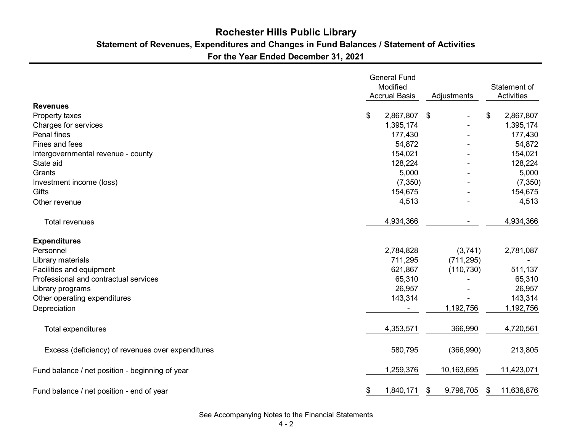# **Statement of Revenues, Expenditures and Changes in Fund Balances / Statement of Activities Rochester Hills Public Library**

**For the Year Ended December 31, 2021**

|                                                   | <b>General Fund</b><br>Modified<br><b>Accrual Basis</b> | Adjustments |    | Statement of<br><b>Activities</b> |                  |
|---------------------------------------------------|---------------------------------------------------------|-------------|----|-----------------------------------|------------------|
| <b>Revenues</b>                                   |                                                         |             |    |                                   |                  |
| Property taxes                                    | \$                                                      | 2,867,807   | \$ |                                   | \$<br>2,867,807  |
| Charges for services                              |                                                         | 1,395,174   |    |                                   | 1,395,174        |
| <b>Penal fines</b>                                |                                                         | 177,430     |    |                                   | 177,430          |
| Fines and fees                                    |                                                         | 54,872      |    |                                   | 54,872           |
| Intergovernmental revenue - county                |                                                         | 154,021     |    |                                   | 154,021          |
| State aid                                         |                                                         | 128,224     |    |                                   | 128,224          |
| Grants                                            |                                                         | 5,000       |    |                                   | 5,000            |
| Investment income (loss)                          |                                                         | (7, 350)    |    |                                   | (7, 350)         |
| Gifts                                             |                                                         | 154,675     |    |                                   | 154,675          |
| Other revenue                                     |                                                         | 4,513       |    |                                   | 4,513            |
| <b>Total revenues</b>                             |                                                         | 4,934,366   |    |                                   | 4,934,366        |
| <b>Expenditures</b>                               |                                                         |             |    |                                   |                  |
| Personnel                                         |                                                         | 2,784,828   |    | (3,741)                           | 2,781,087        |
| Library materials                                 |                                                         | 711,295     |    | (711, 295)                        |                  |
| Facilities and equipment                          |                                                         | 621,867     |    | (110, 730)                        | 511,137          |
| Professional and contractual services             |                                                         | 65,310      |    |                                   | 65,310           |
| Library programs                                  |                                                         | 26,957      |    |                                   | 26,957           |
| Other operating expenditures                      |                                                         | 143,314     |    |                                   | 143,314          |
| Depreciation                                      |                                                         |             |    | 1,192,756                         | 1,192,756        |
| <b>Total expenditures</b>                         |                                                         | 4,353,571   |    | 366,990                           | 4,720,561        |
| Excess (deficiency) of revenues over expenditures |                                                         | 580,795     |    | (366,990)                         | 213,805          |
| Fund balance / net position - beginning of year   |                                                         | 1,259,376   |    | 10,163,695                        | 11,423,071       |
| Fund balance / net position - end of year         | \$                                                      | 1,840,171   | \$ | 9,796,705                         | \$<br>11,636,876 |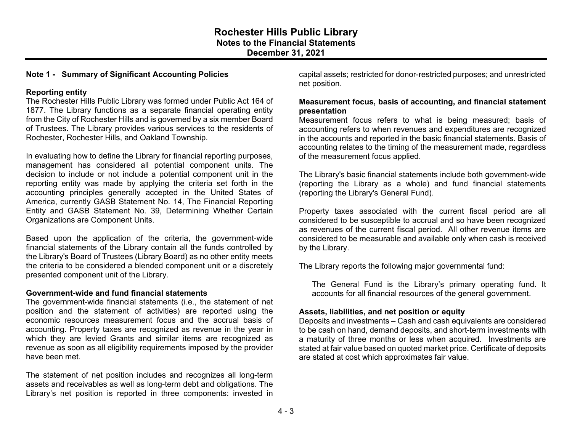#### **Note 1 - Summary of Significant Accounting Policies**

#### **Reporting entity**

The Rochester Hills Public Library was formed under Public Act 164 of 1877. The Library functions as a separate financial operating entity from the City of Rochester Hills and is governed by a six member Board of Trustees. The Library provides various services to the residents of Rochester, Rochester Hills, and Oakland Township.

In evaluating how to define the Library for financial reporting purposes, management has considered all potential component units. The decision to include or not include a potential component unit in the reporting entity was made by applying the criteria set forth in the accounting principles generally accepted in the United States of America, currently GASB Statement No. 14, The Financial Reporting Entity and GASB Statement No. 39, Determining Whether Certain Organizations are Component Units.

Based upon the application of the criteria, the government-wide financial statements of the Library contain all the funds controlled by the Library's Board of Trustees (Library Board) as no other entity meets the criteria to be considered a blended component unit or a discretely presented component unit of the Library.

#### **Government-wide and fund financial statements**

The government-wide financial statements (i.e., the statement of net position and the statement of activities) are reported using the economic resources measurement focus and the accrual basis of accounting. Property taxes are recognized as revenue in the year in which they are levied Grants and similar items are recognized as revenue as soon as all eligibility requirements imposed by the provider have been met.

The statement of net position includes and recognizes all long-term assets and receivables as well as long-term debt and obligations. The Library's net position is reported in three components: invested in capital assets; restricted for donor-restricted purposes; and unrestricted net position.

#### **Measurement focus, basis of accounting, and financial statement presentation**

Measurement focus refers to what is being measured; basis of accounting refers to when revenues and expenditures are recognized in the accounts and reported in the basic financial statements. Basis of accounting relates to the timing of the measurement made, regardless of the measurement focus applied.

The Library's basic financial statements include both government-wide (reporting the Library as a whole) and fund financial statements (reporting the Library's General Fund).

Property taxes associated with the current fiscal period are all considered to be susceptible to accrual and so have been recognized as revenues of the current fiscal period. All other revenue items are considered to be measurable and available only when cash is received by the Library.

The Library reports the following major governmental fund:

The General Fund is the Library's primary operating fund. It accounts for all financial resources of the general government.

#### **Assets, liabilities, and net position or equity**

Deposits and investments – Cash and cash equivalents are considered to be cash on hand, demand deposits, and short-term investments with a maturity of three months or less when acquired. Investments are stated at fair value based on quoted market price. Certificate of deposits are stated at cost which approximates fair value.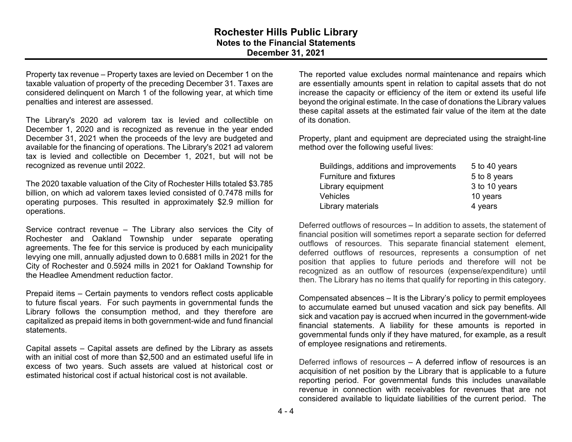## **Rochester Hills Public Library Notes to the Financial Statements December 31, 2021**

Property tax revenue – Property taxes are levied on December 1 on the taxable valuation of property of the preceding December 31. Taxes are considered delinquent on March 1 of the following year, at which time penalties and interest are assessed.

The Library's 2020 ad valorem tax is levied and collectible on December 1, 2020 and is recognized as revenue in the year ended December 31, 2021 when the proceeds of the levy are budgeted and available for the financing of operations. The Library's 2021 ad valorem tax is levied and collectible on December 1, 2021, but will not be recognized as revenue until 2022.

The 2020 taxable valuation of the City of Rochester Hills totaled \$3.785 billion, on which ad valorem taxes levied consisted of 0.7478 mills for operating purposes. This resulted in approximately \$2.9 million for operations.

Service contract revenue – The Library also services the City of Rochester and Oakland Township under separate operating agreements. The fee for this service is produced by each municipality levying one mill, annually adjusted down to 0.6881 mills in 2021 for the City of Rochester and 0.5924 mills in 2021 for Oakland Township for the Headlee Amendment reduction factor.

Prepaid items – Certain payments to vendors reflect costs applicable to future fiscal years. For such payments in governmental funds the Library follows the consumption method, and they therefore are capitalized as prepaid items in both government-wide and fund financial statements.

Capital assets – Capital assets are defined by the Library as assets with an initial cost of more than \$2,500 and an estimated useful life in excess of two years. Such assets are valued at historical cost or estimated historical cost if actual historical cost is not available.

The reported value excludes normal maintenance and repairs which are essentially amounts spent in relation to capital assets that do not increase the capacity or efficiency of the item or extend its useful life beyond the original estimate. In the case of donations the Library values these capital assets at the estimated fair value of the item at the date of its donation.

Property, plant and equipment are depreciated using the straight-line method over the following useful lives:

| Buildings, additions and improvements | 5 to 40 years |
|---------------------------------------|---------------|
| <b>Furniture and fixtures</b>         | 5 to 8 years  |
| Library equipment                     | 3 to 10 years |
| <b>Vehicles</b>                       | 10 years      |
| Library materials                     | 4 years       |

Deferred outflows of resources – In addition to assets, the statement of financial position will sometimes report a separate section for deferred outflows of resources. This separate financial statement element, deferred outflows of resources, represents a consumption of net position that applies to future periods and therefore will not be recognized as an outflow of resources (expense/expenditure) until then. The Library has no items that qualify for reporting in this category.

Compensated absences – It is the Library's policy to permit employees to accumulate earned but unused vacation and sick pay benefits. All sick and vacation pay is accrued when incurred in the government-wide financial statements. A liability for these amounts is reported in governmental funds only if they have matured, for example, as a result of employee resignations and retirements.

Deferred inflows of resources – A deferred inflow of resources is an acquisition of net position by the Library that is applicable to a future reporting period. For governmental funds this includes unavailable revenue in connection with receivables for revenues that are not considered available to liquidate liabilities of the current period. The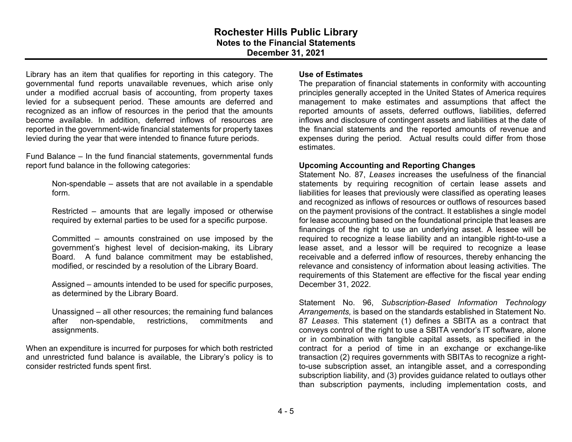Library has an item that qualifies for reporting in this category. The governmental fund reports unavailable revenues, which arise only under a modified accrual basis of accounting, from property taxes levied for a subsequent period. These amounts are deferred and recognized as an inflow of resources in the period that the amounts become available. In addition, deferred inflows of resources are reported in the government-wide financial statements for property taxes levied during the year that were intended to finance future periods.

Fund Balance – In the fund financial statements, governmental funds report fund balance in the following categories:

> Non-spendable – assets that are not available in a spendable form.

> Restricted – amounts that are legally imposed or otherwise required by external parties to be used for a specific purpose.

> Committed – amounts constrained on use imposed by the government's highest level of decision-making, its Library Board. A fund balance commitment may be established, modified, or rescinded by a resolution of the Library Board.

> Assigned – amounts intended to be used for specific purposes, as determined by the Library Board.

> Unassigned – all other resources; the remaining fund balances after non-spendable, restrictions, commitments and assignments.

When an expenditure is incurred for purposes for which both restricted and unrestricted fund balance is available, the Library's policy is to consider restricted funds spent first.

#### **Use of Estimates**

The preparation of financial statements in conformity with accounting principles generally accepted in the United States of America requires management to make estimates and assumptions that affect the reported amounts of assets, deferred outflows, liabilities, deferred inflows and disclosure of contingent assets and liabilities at the date of the financial statements and the reported amounts of revenue and expenses during the period. Actual results could differ from those estimates.

#### **Upcoming Accounting and Reporting Changes**

Statement No. 87, *Leases* increases the usefulness of the financial statements by requiring recognition of certain lease assets and liabilities for leases that previously were classified as operating leases and recognized as inflows of resources or outflows of resources based on the payment provisions of the contract. It establishes a single model for lease accounting based on the foundational principle that leases are financings of the right to use an underlying asset. A lessee will be required to recognize a lease liability and an intangible right-to-use a lease asset, and a lessor will be required to recognize a lease receivable and a deferred inflow of resources, thereby enhancing the relevance and consistency of information about leasing activities. The requirements of this Statement are effective for the fiscal year ending December 31, 2022.

Statement No. 96, *Subscription-Based Information Technology Arrangements,* is based on the standards established in Statement No. 87 *Leases.* This statement (1) defines a SBITA as a contract that conveys control of the right to use a SBITA vendor's IT software, alone or in combination with tangible capital assets, as specified in the contract for a period of time in an exchange or exchange-like transaction (2) requires governments with SBITAs to recognize a rightto-use subscription asset, an intangible asset, and a corresponding subscription liability, and (3) provides guidance related to outlays other than subscription payments, including implementation costs, and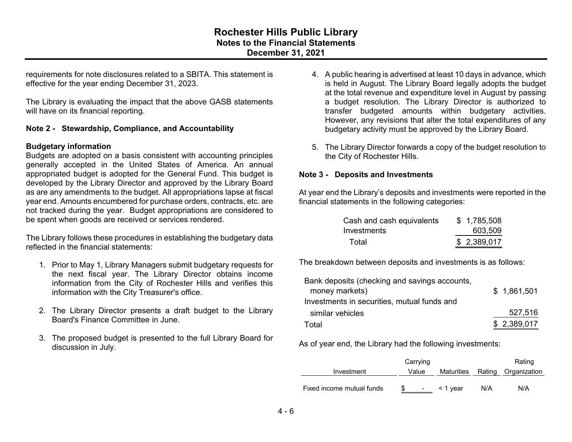requirements for note disclosures related to a SBITA. This statement is effective for the year ending December 31, 2023.

The Library is evaluating the impact that the above GASB statements will have on its financial reporting.

## **Note 2 - Stewardship, Compliance, and Accountability**

#### **Budgetary information**

Budgets are adopted on a basis consistent with accounting principles generally accepted in the United States of America. An annual appropriated budget is adopted for the General Fund. This budget is developed by the Library Director and approved by the Library Board as are any amendments to the budget. All appropriations lapse at fiscal year end. Amounts encumbered for purchase orders, contracts, etc. are not tracked during the year. Budget appropriations are considered to be spent when goods are received or services rendered.

The Library follows these procedures in establishing the budgetary data reflected in the financial statements:

- 1. Prior to May 1, Library Managers submit budgetary requests for the next fiscal year. The Library Director obtains income information from the City of Rochester Hills and verifies this information with the City Treasurer's office.
- 2. The Library Director presents a draft budget to the Library Board's Finance Committee in June.
- 3. The proposed budget is presented to the full Library Board for discussion in July.
- 4. A public hearing is advertised at least 10 days in advance, which is held in August. The Library Board legally adopts the budget at the total revenue and expenditure level in August by passing a budget resolution. The Library Director is authorized to transfer budgeted amounts within budgetary activities. However, any revisions that alter the total expenditures of any budgetary activity must be approved by the Library Board.
- 5. The Library Director forwards a copy of the budget resolution to the City of Rochester Hills.

#### **Note 3 - Deposits and Investments**

At year end the Library's deposits and investments were reported in the financial statements in the following categories:

| Cash and cash equivalents | \$1,785,508 |
|---------------------------|-------------|
| Investments               | 603,509     |
| Total                     | \$2,389,017 |

The breakdown between deposits and investments is as follows:

| Bank deposits (checking and savings accounts, |             |
|-----------------------------------------------|-------------|
| money markets)                                | \$1,861,501 |
| Investments in securities, mutual funds and   |             |
| similar vehicles                              | 527,516     |
| Total                                         | \$2,389,017 |

As of year end, the Library had the following investments:

|                           |       | Carrying   |               |     | Rating                         |
|---------------------------|-------|------------|---------------|-----|--------------------------------|
| Investment                | Value |            |               |     | Maturities Rating Organization |
| Fixed income mutual funds |       | $\sim 100$ | $\leq$ 1 vear | N/A | N/A                            |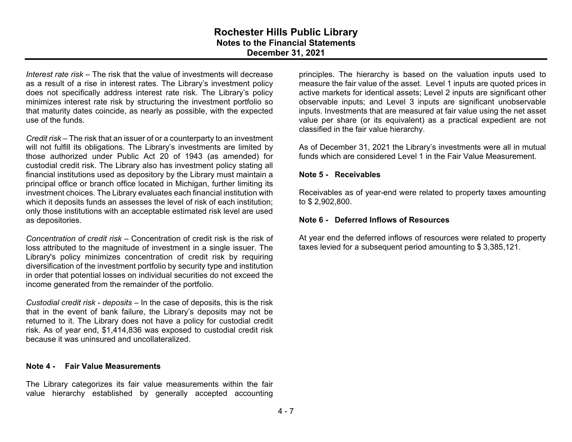*Interest rate risk* – The risk that the value of investments will decrease as a result of a rise in interest rates. The Library's investment policy does not specifically address interest rate risk. The Library's policy minimizes interest rate risk by structuring the investment portfolio so that maturity dates coincide, as nearly as possible, with the expected use of the funds.

*Credit risk* – The risk that an issuer of or a counterparty to an investment will not fulfill its obligations. The Library's investments are limited by those authorized under Public Act 20 of 1943 (as amended) for custodial credit risk. The Library also has investment policy stating all financial institutions used as depository by the Library must maintain a principal office or branch office located in Michigan, further limiting its investment choices. The Library evaluates each financial institution with which it deposits funds an assesses the level of risk of each institution; only those institutions with an acceptable estimated risk level are used as depositories.

*Concentration of credit risk* – Concentration of credit risk is the risk of loss attributed to the magnitude of investment in a single issuer. The Library's policy minimizes concentration of credit risk by requiring diversification of the investment portfolio by security type and institution in order that potential losses on individual securities do not exceed the income generated from the remainder of the portfolio.

*Custodial credit risk - deposits* – In the case of deposits, this is the risk that in the event of bank failure, the Library's deposits may not be returned to it. The Library does not have a policy for custodial credit risk. As of year end, \$1,414,836 was exposed to custodial credit risk because it was uninsured and uncollateralized.

#### **Note 4 - Fair Value Measurements**

The Library categorizes its fair value measurements within the fair value hierarchy established by generally accepted accounting

principles. The hierarchy is based on the valuation inputs used to measure the fair value of the asset. Level 1 inputs are quoted prices in active markets for identical assets; Level 2 inputs are significant other observable inputs; and Level 3 inputs are significant unobservable inputs. Investments that are measured at fair value using the net asset value per share (or its equivalent) as a practical expedient are not classified in the fair value hierarchy.

As of December 31, 2021 the Library's investments were all in mutual funds which are considered Level 1 in the Fair Value Measurement.

#### **Note 5 - Receivables**

Receivables as of year-end were related to property taxes amounting to \$ 2,902,800.

#### **Note 6 - Deferred Inflows of Resources**

At year end the deferred inflows of resources were related to property taxes levied for a subsequent period amounting to \$ 3,385,121.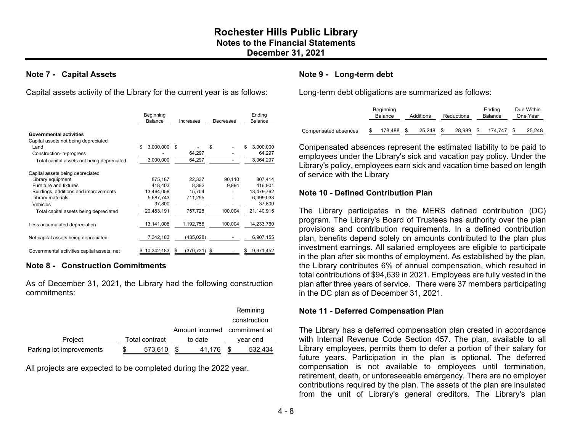#### **Note 7 - Capital Assets**

Capital assets activity of the Library for the current year is as follows:

|                                                                                                                                                                                                     | Beginning<br><b>Balance</b>                                           | Increases                                       | Decreases                  | Ending<br>Balance                                                     |
|-----------------------------------------------------------------------------------------------------------------------------------------------------------------------------------------------------|-----------------------------------------------------------------------|-------------------------------------------------|----------------------------|-----------------------------------------------------------------------|
| <b>Governmental activities</b><br>Capital assets not being depreciated<br>Land<br>Construction-in-progress<br>Total capital assets not being depreciated                                            | 3,000,000<br>\$.<br>3,000,000                                         | \$<br>64,297<br>64,297                          | \$                         | \$.<br>3,000,000<br>64,297<br>3,064,297                               |
| Capital assets being depreciated<br>Library equipment<br>Furniture and fixtures<br>Buildings, additions and improvements<br>Library materials<br>Vehicles<br>Total capital assets being depreciated | 875,187<br>418,403<br>13,464,058<br>5,687,743<br>37,800<br>20,483,191 | 22,337<br>8.392<br>15,704<br>711,295<br>757,728 | 90,110<br>9,894<br>100,004 | 807,414<br>416,901<br>13,479,762<br>6,399,038<br>37,800<br>21,140,915 |
| Less accumulated depreciation                                                                                                                                                                       | 13,141,008                                                            | 1,192,756                                       | 100,004                    | 14,233,760                                                            |
| Net capital assets being depreciated                                                                                                                                                                | 7,342,183                                                             | (435, 028)                                      |                            | 6,907,155                                                             |
| Governmental activities capital assets, net                                                                                                                                                         | 10,342,183                                                            | (370,731)<br>S                                  | S                          | 9,971,452                                                             |

#### **Note 8 - Construction Commitments**

As of December 31, 2021, the Library had the following construction commitments:

|                          |                |         |                               | Remining     |
|--------------------------|----------------|---------|-------------------------------|--------------|
|                          |                |         |                               | construction |
|                          |                |         | Amount incurred commitment at |              |
| Project                  | Total contract | to date |                               | vear end     |
| Parking lot improvements | 573,610        |         | 41.176                        | 532,434      |

All projects are expected to be completed during the 2022 year.

### **Note 9 - Long-term debt**

Long-term debt obligations are summarized as follows:

|                      | Beginning<br>Balance |         | Additions<br>Reductions |        |  | Ending<br><b>Balance</b> | Due Within<br>One Year |  |        |
|----------------------|----------------------|---------|-------------------------|--------|--|--------------------------|------------------------|--|--------|
| Compensated absences |                      | 178.488 |                         | 25.248 |  | 28.989                   | 174.747                |  | 25,248 |

Compensated absences represent the estimated liability to be paid to employees under the Library's sick and vacation pay policy. Under the Library's policy, employees earn sick and vacation time based on length of service with the Library

#### **Note 10 - Defined Contribution Plan**

The Library participates in the MERS defined contribution (DC) program. The Library's Board of Trustees has authority over the plan provisions and contribution requirements. In a defined contribution plan, benefits depend solely on amounts contributed to the plan plus investment earnings. All salaried employees are eligible to participate in the plan after six months of employment. As established by the plan, the Library contributes 6% of annual compensation, which resulted in total contributions of \$94,639 in 2021. Employees are fully vested in the plan after three years of service. There were 37 members participating in the DC plan as of December 31, 2021.

#### **Note 11 - Deferred Compensation Plan**

The Library has a deferred compensation plan created in accordance with Internal Revenue Code Section 457. The plan, available to all Library employees, permits them to defer a portion of their salary for future years. Participation in the plan is optional. The deferred compensation is not available to employees until termination, retirement, death, or unforeseeable emergency. There are no employer contributions required by the plan. The assets of the plan are insulated from the unit of Library's general creditors. The Library's plan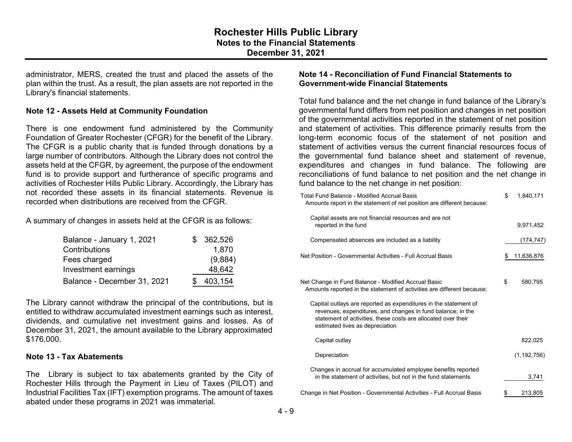administrator, MERS, created the trust and placed the assets of the plan within the trust. As a result, the plan assets are not reported in the Library's financial statements.

#### **Note 12 - Assets Held at Community Foundation**

There is one endowment fund administered by the Community Foundation of Greater Rochester (CFGR) for the benefit of the Library. The CFGR is a public charity that is funded through donations by a large number of contributors. Although the Library does not control the assets held at the CFGR, by agreement, the purpose of the endowment fund is to provide support and furtherance of specific programs and activities of Rochester Hills Public Library. Accordingly, the Library has not recorded these assets in its financial statements. Revenue is recorded when distributions are received from the CFGR.

A summary of changes in assets held at the CFGR is as follows:

| Balance - January 1, 2021   | \$362,526 |
|-----------------------------|-----------|
| Contributions               | 1,870     |
| Fees charged                | (9,884)   |
| Investment earnings         | 48,642    |
| Balance - December 31, 2021 | 403,154   |

The Library cannot withdraw the principal of the contributions, but is entitled to withdraw accumulated investment earnings such as interest, dividends, and cumulative net investment gains and losses. As of December 31, 2021, the amount available to the Library approximated \$176,000.

#### **Note 13 - Tax Abatements**

The Library is subject to tax abatements granted by the City of Rochester Hills through the Payment in Lieu of Taxes (PILOT) and Industrial Facilities Tax (IFT) exemption programs. The amount of taxes abated under these programs in 2021 was immaterial.

## **Note 14 - Reconciliation of Fund Financial Statements to Government-wide Financial Statements**

Total fund balance and the net change in fund balance of the Library's governmental fund differs from net position and changes in net position of the governmental activities reported in the statement of net position and statement of activities. This difference primarily results from the long-term economic focus of the statement of net position and statement of activities versus the current financial resources focus of the governmental fund balance sheet and statement of revenue, expenditures and changes in fund balance. The following are reconciliations of fund balance to net position and the net change in fund balance to the net change in net position:

| Total Fund Balance - Modified Accrual Basis<br>Amounts report in the statement of net position are different because:                                                                                                               | \$<br>1,840,171  |
|-------------------------------------------------------------------------------------------------------------------------------------------------------------------------------------------------------------------------------------|------------------|
| Capital assets are not financial resources and are not<br>reported in the fund                                                                                                                                                      | 9,971,452        |
| Compensated absences are included as a liability                                                                                                                                                                                    | (174, 747)       |
| Net Position - Governmental Activities - Full Accrual Basis                                                                                                                                                                         | \$<br>11,636,876 |
| Net Change in Fund Balance - Modified Accrual Basic<br>Amounts reported in the statement of activities are different because:                                                                                                       | \$<br>580,795    |
| Capital outlays are reported as expenditures in the statement of<br>revenues, expenditures, and changes in fund balance; in the<br>statement of activities, these costs are allocated over their<br>estimated lives as depreciation |                  |
| Capital outlay                                                                                                                                                                                                                      | 822,025          |
| Depreciation                                                                                                                                                                                                                        | (1, 192, 756)    |
| Changes in accrual for accumulated employee benefits reported<br>in the statement of activities, but not in the fund statements                                                                                                     | 3,741            |
| Change in Net Position - Governmental Activities - Full Accrual Basis                                                                                                                                                               | 213,805          |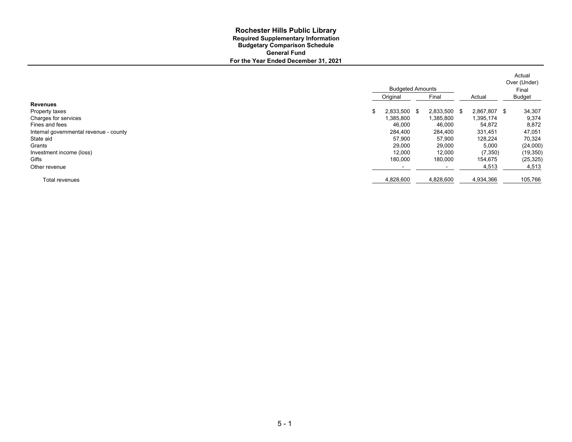#### **For the Year Ended December 31, 2021 Rochester Hills Public Library Required Supplementary Information Budgetary Comparison Schedule General Fund**

|                                        | <b>Budgeted Amounts</b>  |              |              |  | Actual<br>Over (Under) |  |
|----------------------------------------|--------------------------|--------------|--------------|--|------------------------|--|
|                                        | Original                 | Final        | Actual       |  | Final<br><b>Budget</b> |  |
| <b>Revenues</b>                        |                          |              |              |  |                        |  |
| Property taxes                         | 2,833,500 \$             | 2,833,500 \$ | 2,867,807 \$ |  | 34,307                 |  |
| Charges for services                   | 1,385,800                | 1,385,800    | 1,395,174    |  | 9,374                  |  |
| Fines and fees                         | 46,000                   | 46,000       | 54,872       |  | 8,872                  |  |
| Internal governmental revenue - county | 284,400                  | 284,400      | 331,451      |  | 47,051                 |  |
| State aid                              | 57,900                   | 57,900       | 128,224      |  | 70,324                 |  |
| Grants                                 | 29,000                   | 29,000       | 5,000        |  | (24,000)               |  |
| Investment income (loss)               | 12,000                   | 12,000       | (7,350)      |  | (19, 350)              |  |
| Gifts                                  | 180,000                  | 180,000      | 154,675      |  | (25, 325)              |  |
| Other revenue                          | $\overline{\phantom{0}}$ |              | 4,513        |  | 4,513                  |  |
| Total revenues                         | 4,828,600                | 4,828,600    | 4,934,366    |  | 105,766                |  |